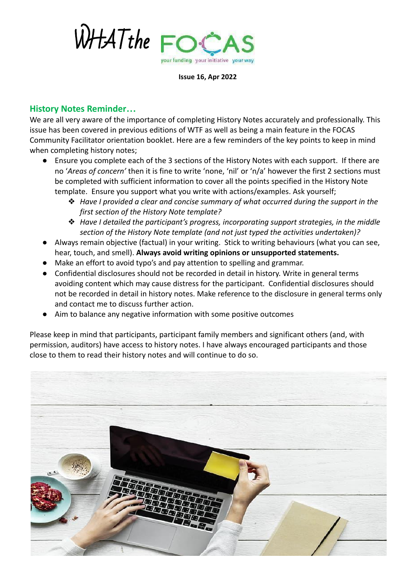

**Issue 16, Apr 2022**

## **History Notes Reminder…**

We are all very aware of the importance of completing History Notes accurately and professionally. This issue has been covered in previous editions of WTF as well as being a main feature in the FOCAS Community Facilitator orientation booklet. Here are a few reminders of the key points to keep in mind when completing history notes;

- Ensure you complete each of the 3 sections of the History Notes with each support. If there are no '*Areas of concern'* then it is fine to write 'none, 'nil' or 'n/a' however the first 2 sections must be completed with sufficient information to cover all the points specified in the History Note template. Ensure you support what you write with actions/examples. Ask yourself;
	- ❖ *Have I provided a clear and concise summary of what occurred during the support in the first section of the History Note template?*
	- ❖ *Have I detailed the participant's progress, incorporating support strategies, in the middle section of the History Note template (and not just typed the activities undertaken)?*
- Always remain objective (factual) in your writing. Stick to writing behaviours (what you can see, hear, touch, and smell). **Always avoid writing opinions or unsupported statements.**
- Make an effort to avoid typo's and pay attention to spelling and grammar.
- Confidential disclosures should not be recorded in detail in history. Write in general terms avoiding content which may cause distress for the participant. Confidential disclosures should not be recorded in detail in history notes. Make reference to the disclosure in general terms only and contact me to discuss further action.
- Aim to balance any negative information with some positive outcomes

Please keep in mind that participants, participant family members and significant others (and, with permission, auditors) have access to history notes. I have always encouraged participants and those close to them to read their history notes and will continue to do so.

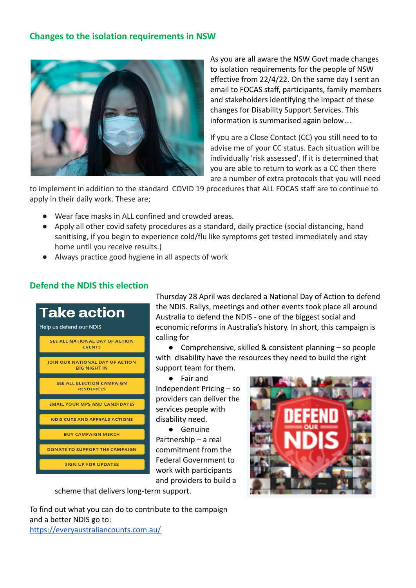## **Changes to the isolation requirements in NSW**



As you are all aware the NSW Govt made changes to isolation requirements for the people of NSW effective from 22/4/22. On the same day I sent an email to FOCAS staff, participants, family members and stakeholders identifying the impact of these changes for Disability Support Services. This information is summarised again below…

If you are a Close Contact (CC) you still need to to advise me of your CC status. Each situation will be individually 'risk assessed'. If it is determined that you are able to return to work as a CC then there are a number of extra protocols that you will need

to implement in addition to the standard COVID 19 procedures that ALL FOCAS staff are to continue to apply in their daily work. These are;

- Wear face masks in ALL confined and crowded areas.
- Apply all other covid safety procedures as a standard, daily practice (social distancing, hand sanitising, if you begin to experience cold/flu like symptoms get tested immediately and stay home until you receive results.)
- Always practice good hygiene in all aspects of work

## **Defend the NDIS this election**

| <b>Take action</b><br>Help us defend our NDIS                 |
|---------------------------------------------------------------|
| <b>SEE ALL NATIONAL DAY OF ACTION</b><br><b>EVENTS</b>        |
| <b>JOIN OUR NATIONAL DAY OF ACTION</b><br><b>BIG NIGHT IN</b> |
| <b>SEE ALL ELECTION CAMPAIGN</b><br><b>RESOURCES</b>          |
| <b>EMAIL YOUR MPS AND CANDIDATES</b>                          |
| <b>NDIS CUTS AND APPEALS ACTIONS</b>                          |
| <b><i>RUY CAMPAIGN MERCH</i></b>                              |
| <b>DONATE TO SUPPORT THE CAMPAIGN</b>                         |
| <b>SIGN UP FOR UPDATES</b>                                    |

Thursday 28 April was declared a National Day of Action to defend the NDIS. Rallys, meetings and other events took place all around Australia to defend the NDIS - one of the biggest social and economic reforms in Australia's history. In short, this campaign is calling for

● Comprehensive, skilled & consistent planning – so people with disability have the resources they need to build the right support team for them.

● Fair and Independent Pricing – so providers can deliver the services people with disability need.

● Genuine Partnership – a real commitment from the Federal Government to work with participants and providers to build a

scheme that delivers long-term support.

To find out what you can do to contribute to the campaign and a better NDIS go to: <https://everyaustraliancounts.com.au/>